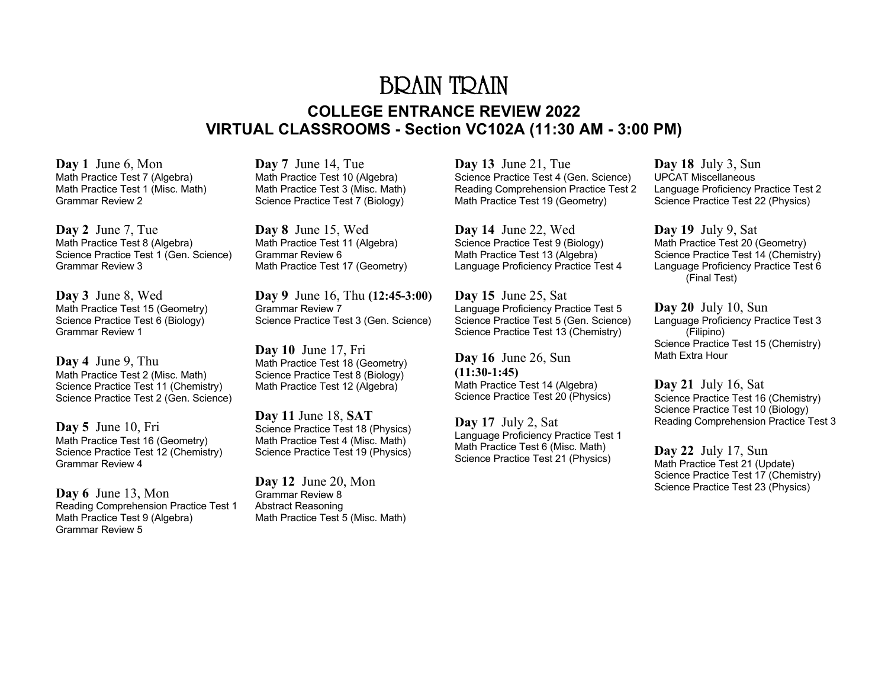## BRAIN TRAIN **COLLEGE ENTRANCE REVIEW 2022 VIRTUAL CLASSROOMS - Section VC102A (11:30 AM - 3:00 PM)**

**Day 1** June 6, Mon Math Practice Test 7 (Algebra) Math Practice Test 1 (Misc. Math) Grammar Review 2

**Day 2** June 7, Tue Math Practice Test 8 (Algebra) Science Practice Test 1 (Gen. Science) Grammar Review 3

**Day 3** June 8, Wed Math Practice Test 15 (Geometry) Science Practice Test 6 (Biology) Grammar Review 1

**Day 4** June 9, Thu Math Practice Test 2 (Misc. Math) Science Practice Test 11 (Chemistry) Science Practice Test 2 (Gen. Science)

**Day 5** June 10, Fri Math Practice Test 16 (Geometry) Science Practice Test 12 (Chemistry) Grammar Review 4

**Day 6** June 13, Mon Reading Comprehension Practice Test 1 Math Practice Test 9 (Algebra) Grammar Review 5

**Day 7** June 14, Tue Math Practice Test 10 (Algebra) Math Practice Test 3 (Misc. Math) Science Practice Test 7 (Biology)

**Day 8** June 15, Wed Math Practice Test 11 (Algebra) Grammar Review 6 Math Practice Test 17 (Geometry)

**Day 9** June 16, Thu **(12:45-3:00)** Grammar Review 7 Science Practice Test 3 (Gen. Science)

**Day 10** June 17, Fri Math Practice Test 18 (Geometry) Science Practice Test 8 (Biology) Math Practice Test 12 (Algebra)

**Day 11** June 18, **SAT**  Science Practice Test 18 (Physics) Math Practice Test 4 (Misc. Math) Science Practice Test 19 (Physics)

**Day 12** June 20, Mon Grammar Review 8 Abstract Reasoning Math Practice Test 5 (Misc. Math)

**Day 13** June 21, Tue Science Practice Test 4 (Gen. Science) Reading Comprehension Practice Test 2 Math Practice Test 19 (Geometry)

**Day 14** June 22, Wed Science Practice Test 9 (Biology) Math Practice Test 13 (Algebra) Language Proficiency Practice Test 4

**Day 15** June 25, Sat Language Proficiency Practice Test 5 Science Practice Test 5 (Gen. Science) Science Practice Test 13 (Chemistry)

**Day 16** June 26, Sun **(11:30-1:45)** Math Practice Test 14 (Algebra) Science Practice Test 20 (Physics)

**Day 17** July 2, Sat Language Proficiency Practice Test 1 Math Practice Test 6 (Misc. Math) Science Practice Test 21 (Physics)

**Day 18** July 3, Sun UPCAT Miscellaneous Language Proficiency Practice Test 2 Science Practice Test 22 (Physics)

**Day 19** July 9, Sat Math Practice Test 20 (Geometry) Science Practice Test 14 (Chemistry) Language Proficiency Practice Test 6 (Final Test)

**Day 20** July 10, Sun Language Proficiency Practice Test 3 (Filipino) Science Practice Test 15 (Chemistry) Math Extra Hour

**Day 21** July 16, Sat Science Practice Test 16 (Chemistry) Science Practice Test 10 (Biology) Reading Comprehension Practice Test 3

**Day 22** July 17, Sun Math Practice Test 21 (Update) Science Practice Test 17 (Chemistry) Science Practice Test 23 (Physics)